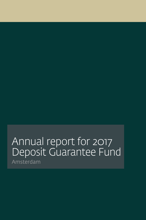# Annual report for 2017 Deposit Guarantee Fund Amsterdam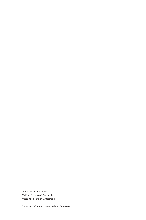Deposit Guarantee Fund PO Pox 98, 1000 AB Amsterdam Westeinde 1, 1017 ZN Amsterdam

Chamber of Commerce registration: 65035321 0000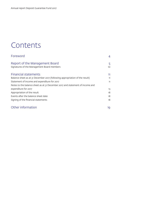# Contents

| Foreword                                                                      | 4        |
|-------------------------------------------------------------------------------|----------|
| Report of the Management Board<br>Signatures of the Management Board members  | 5.<br>10 |
| <b>Financial statements</b>                                                   | 11       |
| Balance sheet as at 31 December 2017 (following appropriation of the result)  | 11.      |
| Statement of income and expenditure for 2017                                  | 11       |
| Notes to the balance sheet as at 31 December 2017 and statement of income and |          |
| expenditure for 2017                                                          | 13       |
| Appropriation of the result                                                   | 18       |
| Events after the balance sheet date                                           | 18       |
| Signing of the financial statements                                           | 18       |

# [Other information](#page-18-0) 19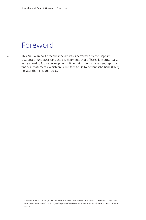# <span id="page-3-0"></span>Foreword

This Annual Report describes the activities performed by the Deposit Guarantee Fund (DGF) and the developments that affected it in 2017. It also looks ahead to future developments. It contains the management report and financial statements, which are submitted to De Nederlandsche Bank (DNB) no later than 15 March 20181 .

<sup>1</sup> Pursuant to Section 29.10(3) of the Decree on Special Prudential Measures, Investor Compensation and Deposit Guarantees under the *Wft* (*Besluit bijzondere prudentiële maatregelen, beleggerscompensatie en depositogarantie Wft – Bbpm*)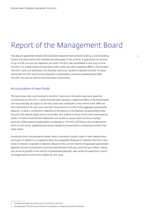# <span id="page-4-0"></span>Report of the Management Board

The deposit guarantee scheme (DGS) protects deposits held at banks holding a Dutch banking 5 licence and other banks that mandatorily participate in the scheme. It guarantees an amount of up to EUR 100,000 per depositor per bank. The DGF was established in late 2015 to fund the DGS. It is a legal entity incorporated under public law with registered office in Amsterdam. The DGF's task is to administer the financial resources needed to operate the DGS. If a bank should fail, the DGF will fund the depositor compensation amounts established by DNB. The DGF can also be used to fund resolution instruments.

## Accumulation of own funds

The banks bear the costs involved in the DGS.<del>'</del> Since 2016, the banks have paid quarterly contributions to the DGF. A newly licensed bank having its registered office in the Netherlands will automatically be subject to the DGS and must contribute to the reserve fund. DNB sets the contributions. By mid-2024, the DGF must amount to 0.8% of the aggregate guaranteed deposits<sup>3</sup>. A bank's contribution depends on the balance of its deposits as guaranteed under the DGS (the deposit base) and its risk profile, also relative to those of the other participating banks. If a bank should fail and depositors are unable to access their current or savings accounts, DNB awards compensation to depositors. The DGF will finance the compensation from its own funds, supplemented where needed by extraordinary contributions levied from other banks.

During the fund's accumulation phase, banks contribute roughly 0.94% of their deposit base each year, in addition to a supplementary levy (*suppletie*) designed to maintain the DGF's own funds in relation to growth in deposits. Based on the current volume of aggregate guaranteed deposits, annual contributions currently total between EUR 450 and EUR 500 million. Taking into account growth in the volume of guaranteed deposits, own funds are expected to reach the target level of some EUR 5 billion by mid-2024.

<sup>2</sup> The *Bbpm* provides that banks must contribute to the DGS.

<sup>3</sup> As stipulated in Article 10(2) of Directive 2014/49/EU on deposit guarantee schemes.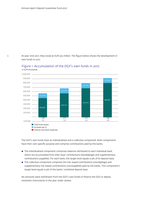At year-end 2017, they stood at EUR 915 million. The figure below shows the development in own funds in 2017.



## in EUR thousands Figure 1 Accumulation of the DGF's own funds in 2017

The DGF's own funds have an individualised and a collective component. Both components have their own specific purpose and comprise contributions paid by the banks.

- $\blacksquare$  The individualised component comprises balances attributed to each individual bank, which are accumulated from their basic contributions (*basisbijdrage*) and supplementary contributions (*suppletie*). For each bank, the target level equals 0.4% of its deposit base.
- The collective component comprises the risk-based contributions (risicobijdrage) and supplementary risk-based contributions (*risicosuppletie*) paid by the banks. This component's target level equals 0.4% of the banks' combined deposit base.

No amounts were withdrawn from the DGF's own funds to finance the DGS or deploy resolution instruments in the year under review.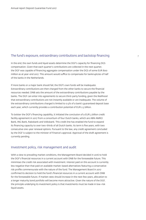## The fund's exposure, extraordinary contributions and backstop financing  $\frac{7}{2}$

In the end, the own funds and liquid assets determine the DGF's capacity for financing DGS compensation. Given that each quarter's contributions are collected in the next quarter, the DGF was capable of financing aggregate compensation under the DGS of some EUR 800 million as at year-end 2017. This amount would suffice to compensate for bankruptcies of half of the banks in the Netherlands.

If more banks or a major bank should fail, the DGF's own funds will be inadequate. Extraordinary contributions are then charged from the other banks to secure the financial resources needed. DNB sets the amount of the extraordinary contributions payable by the banks. The DGF can enter into agreements to secure third-party funding, given the likelihood that extraordinary contributions are not instantly available or are inadequate. The volume of the extraordinary contributions charged is limited to 0.5% of a bank's guaranteed deposit base each year, which currently provides a contribution potential of EUR 2.3 billion.

To bolster the DGF's financing capability, it initiated the conclusion of a EUR 3 billion credit facility agreement in 2017 from a consortium of four Dutch banks, which are ABN AMRO Bank, ING Bank, Rabobank and Volksbank. This credit line has enabled the fund to expand its financing capacity to over two-thirds of all Dutch banks. Its term is five years, with two consecutive one-year renewal options. Pursuant to the law, any credit agreement concluded by the DGF is subject to the minister of Finance's approval. Approval of the draft agreement is currently pending.

## Investment policy, risk management and audit

With a view to prevailing market conditions, the Management Board decided in 2016 to hold the DGF's financial resources in a current account with DNB for the foreseeable future. This minimises the credit risk associated with investment. Interest paid on this account is currently less negative than that paid on available market-based alternatives featuring a conservative risk profile commensurate with the nature of the fund. The Management Board in 2017 confirmed its decision to hold the fund's financial resources in a current account with DNB for the foreseeable future. If market rates should increase in the next few years, allocation to a longer maturity bond portfolio will become more attractive. Given the nature of the DGF, the principle underlying its investment policy is that investments must be made in low-risk liquid assets.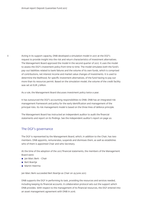Acting in its support capacity, DNB developed a simulation model in 2017 at the DGF's request to provide insight into the risk and return characteristics of investment alternatives. The Management Board approved the model in the second quarter of 2017. It uses the model to assess the DGF's investment policy from time to time. The model simulates both the fund's pay-out liabilities related to bank failures and the volume of its own funds, which is comprised of contributions, net interest income and market value changes of investments. It is used to determine the likelihood, for specific investment alternatives, of the fund having to pay out more than its resources permit. Based on the simulation model, the volume of the credit facility was set at EUR 3 billion.

As a rule, the Management Board discusses investment policy twice a year.

It has outsourced the DGF's accounting responsibilities to DNB. DNB has an integrated risk management framework and policy for the early identification and management of the principal risks. Its risk management model is based on the three lines of defence principle.

The Management Board has instructed an independent auditor to audit the financial statements and report on its findings. See the independent auditor's report on page 20.

### The DGF's governance

The DGF is represented by the Management Board, which, in addition to the Chair, has two members. DNB appoints, remunerates, suspends and dismisses them, as well as establishes who of them is appointed Chair and who Secretary.

At the time of the adoption of the 2017 financial statements, the members of the Management Board were:

- Jan Marc Berk Chair
- Bert Boertje
- **B** Martin Heerma

Jan Marc Berk succeeded Bert Boertje as Chair on 29 June 2017.

DNB supports the DGF in performing its task, providing the resources and services needed, including keeping its financial accounts. A collaboration protocol sets out the support which DNB provides. With respect to the management of its financial resources, the DGF entered into an asset management agreement with DNB in 2016.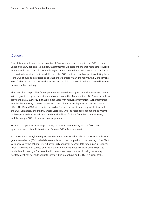## Outlook 9

A key future development is the minister of Finance's intention to require the DGF to operate under a treasury banking regime (*schatkistbankieren*). Expectations are that more details will be announced in the spring of 2018 in this regard. A fundamental precondition for the DGF is that its own funds must be readily available once the DGS is activated with respect to a failing bank. If the DGF should be instructed to operate under a treasury banking regime, the Management Board's charter and the cooperation agreements which it has concluded with DNB will need to be amended accordingly.

The DGS Directive provides for cooperation between the European deposit guarantee schemes. With regard to a deposit held at a branch office in another Member State, DNB must be able to provide the DGS authority in that Member State with relevant information. Such information enables the authority to make payments to the holders of the deposits held at the branch office. The Dutch DGS will remain responsible for such payments, and they will be funded by the DGF. Conversely, the other Member State's DGS will be responsible for making payments with respect to deposits held at Dutch branch offices of a bank from that Member State, and the foreign DGS will finance those payments.

European cooperation is arranged through a series of agreements, and the first bilateral agreement was entered into with the German DGS in February 2018.

At the European level, limited progress was made in negotiations about the European deposit guarantee scheme (EDIS), which is to contribute to the completion of the banking union. EDIS will not replace the national DGSs, but will fully or partially consolidate funding on a European level. If agreement is reached on EDIS, national guarantee funds will gradually be replaced in whole or in part by a European fund in due course. Negotiations still being under way, no statement can be made about the impact this might have on the DGF's current tasks.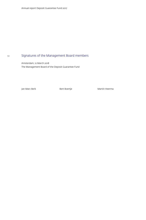#### <span id="page-9-0"></span>10 Signatures of the Management Board members

Amsterdam, 12 March 2018 The Management Board of the Deposit Guarantee Fund

Jan Marc Berk Nation Albert Boertje Martin Heerman Martin Heerman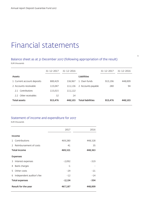# <span id="page-10-0"></span>Financial statements

## Balance sheet as at 31 December 2017 (following appropriation of the result) EUR thousands

|                            | 31-12-2017 | 31-12-2016 |                          | $31 - 12 - 2017$ | 31-12-2016 |
|----------------------------|------------|------------|--------------------------|------------------|------------|
| Assets                     |            |            | <b>Liabilities</b>       |                  |            |
| 1 Current account deposits | 800.429    | 336.967    | 1 Own funds              | 915,196          | 448,009    |
| 2 Accounts receivable      | 115,047    | 111,136    | 2 Accounts payable       | 280              | 94         |
| Contributions<br>21        | 115,015    | 111,122    |                          |                  |            |
| Other receivables<br>22    | 32         | 14         |                          |                  |            |
| <b>Total assets</b>        | 915,476    | 448.103    | <b>Total liabilities</b> | 915,476          | 448,103    |

## Statement of income and expenditure for 2017

EUR thousands

|                       |                           | 2017     | 2016    |  |  |
|-----------------------|---------------------------|----------|---------|--|--|
| Income                |                           |          |         |  |  |
|                       | 1 Contributions           | 469,280  | 448,328 |  |  |
|                       | 2 Reimbursement of costs  | 41       | 35      |  |  |
| <b>Total income</b>   |                           | 469,321  | 448,363 |  |  |
|                       | <b>Expenses</b>           |          |         |  |  |
|                       | 3 Interest expenses       | $-2,092$ | $-319$  |  |  |
|                       | 4 Bank charges            | -1       |         |  |  |
| 5                     | Other costs               | $-29$    | $-21$   |  |  |
| 6                     | Independent auditor's fee | $-12$    | -14     |  |  |
| <b>Total expenses</b> |                           | $-2,134$ | -354    |  |  |
| Result for the year   |                           | 467,187  | 448,009 |  |  |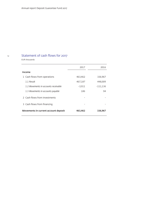## 12

# <span id="page-11-0"></span>Statement of cash flows for 2017

EUR thousands

|                                      | 2017     | 2016     |
|--------------------------------------|----------|----------|
| Income                               |          |          |
| 1 Cash flows from operations         | 463,462  | 336,967  |
| 1.1 Result                           | 467,187  | 448,009  |
| 1.2 Movements in accounts receivable | $-3,911$ | -111,136 |
| 1.3 Movements in accounts payable    | 186      | 94       |
| 2 Cash flows from investments        |          |          |
| 3 Cash flows from financing          |          |          |
| Movements in current account deposit | 463,462  | 336,967  |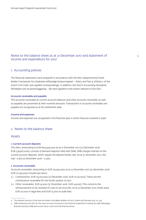## <span id="page-12-0"></span>Notes to the balance sheet as at 31 December 2017 and statement of 13 April 13 income and expenditure for 2017

## 1. Accounting policies

The financial statements were prepared in accordance with the Non-Departmental Public Bodies Framework Act (*Kaderwet zelfstandige bestuursorganen – Kzbo*), and Part 9 of Book 2 of the Dutch Civil Code4 was applied correspondingly. In addition, the Dutch Accounting Standards (*Richtlijnen voor de Jaarverslaggeving – RJ*) were applied to the extent relevant to the DGF.

#### Accounts receivable and payable

The accounts receivable as current account balances and other accounts receivable, as well as payables are presented at their nominal amounts. Transactions in accounts receivable and payable are recognised as at the settlement date.

#### Income and expenses

Income and expenses are recognised in the financial year in which they are received or paid.

## 2. Notes to the balance sheet

#### Assets

#### 1. Current account deposits

This item, amounting to EUR 800,429,000 as at 31 December 2017 (31 December 2016: EUR 336,967,000), consists of demand deposits held with DNB. DNB charges interest on the current account deposits, which equals the deposit facility rate. As at 31 December 2017, this was -0.4% (31 December 2016: -0.4%).

#### 2. Accounts receivable

Accounts receivable, amounting to EUR 115,047,000 as at 31 December 2017 (31 December 2016: EUR 111,136,000) include two items:

- 2.1 Contributions: EUR 115,015,000 (31 December 2016: EUR 111,122,000). These are the contributions receivable for the fourth quarter of 2017.
- 2.2 Other receivables: EUR 32,000 (31 December 2016: EUR 14,000). This concerns the reimbursement to be received of costs to be incurred5 , As at 31 December 2017, these were EUR 20,000 in legal fees and EUR 12,000 in audit fees.

<sup>4</sup> The relevant sections of the *Kzbo* are listed in the *Bbpm*, Bulletin of Acts, Orders and Decrees 2015, no. 433

<sup>5</sup> DNB reimburses the DGF for the costs incurred. Pursuant to the Financial Supervision Funding Act (*Wet bekostiging financieel toezicht*), DNB will recover these costs from the financial sector.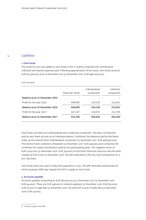#### $14$ Liabilities

### 1. Own funds

The result for 2017 was added to own funds in full. It mainly comprised the contributions collected and interest expenses paid. Following appropriation of the result, own funds stood at EUR 915,196,000 as at 31 December 2017 (31 December 2016: EUR 448,009,000).

#### EUR thousands

|                                | Total own funds | Individualised<br>component | Collective<br>component |
|--------------------------------|-----------------|-----------------------------|-------------------------|
| Balance as at 31 December 2015 |                 |                             |                         |
| Profit for the year 2016       | 448.009         | 224.158                     | 223,851                 |
| Balance as at 31 December 2016 | 448.009         | 224.158                     | 223,851                 |
| Profit for the year 2017       | 467,187         | 234.478                     | 232.709                 |
| Balance as at 31 December 2017 | 915,196         | 458,636                     | 456,560                 |

Own funds are held in an individualised and a collective component. The basic contribution paid by each bank accrues as its individual balance. Combined, the balances paid by the banks make up the reserve fund's individualised component (31 December 2017: EUR 458,636,000). The reserve fund's collective component (31 December 2017: EUR 456,560,000) comprises the combined risk-based contributions paid by the participating banks. The negative return of EUR 2,092,000 (31 December 2016: EUR 319,000) on the fund's financial resources and the bank charges of EUR 1,000 (31 December 2016: nil) were allocated to the two fund components on a pro-rata basis.

Own funds were not used to make DGS payments in 2017. The *Wft*6 describes exhaustively for which purposes DNB may request the DGF to apply its own funds.

### 2. Accounts payable

Accounts payable, amounting to EUR 280,000 as at 31 December 2017 (31 December 2016: EUR 94,000). These are EUR 248,000 in interest expenses (31 December 2016: EUR 80,000), EUR 20,000 in legal fees (31 December 2016: nil) and EUR 12,000 in audit fees (31 December 2016: EUR 14,000).

<sup>6</sup> Section 3:259a of the *Wft*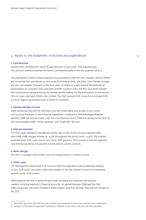## 3. Notes to the statement of income and expenditure 15

#### 1. Contributions

Income from contributions was EUR 449,280,000 in 2017 (2016: EUR 448,328,000). This amount mainly comprises the banks' contributions paid in the four quarters of 2017.

The population of banks whose deposits are guaranteed under the DGS changes. Branch offices are converted into subsidiaries or vice versa from time to time, and other cross-border changes are also conceivable. Pursuant to the DGS rules7 , if a bank or a part thereof discontinues its participation in a country's DGS and joins another country's DGS, the first DGS must transfer the contributions received during the twelve months before the discontinuation to the second DGS on a pro rata basis. Within this context, the DGF received EUR 7,000 from and paid EUR 4,000 to deposit guarantee funds in other EU countries.

#### 2. Reimbursement of costs

DNB reimburses the DGF for the costs incurred, which were EUR 41,000 in 2017 (2016: EUR 33,000). Pursuant to the Financial Supervision Funding Act (*Wet bekostiging financieel toezicht*), DNB will recover these costs from the financial sector. DNB will reimburse the DGF for the costs detailed under "Other expenses" and "Audit fees" for 2017.

#### 3. Interest expenses

The DGF owes interest at the deposit facility rate on the current account deposits held with DNB. DNB charged interest at -0.4% throughout the period (2016: -0.4%). The interest expenses were EUR 2,092,000 in 2017 (2016: EUR 319,000). The increase in interest expenses was entirely caused by the growth in funds held in current account.

#### 4. Bank charges

The DGF is charged a fee of EUR 1,000 for holding funds in current account.

#### 5. Other costs

The Management Board paid EUR 20,000 in fees for legal advice about backstop funding in 2017. EUR 9,000 was paid in fees and charges for the use of bank accounts and payment systems (2016: EUR 21,000).

DNB supports the DGF in performing its task, providing the resources and services needed, including keeping its financial accounts. As agreed between DNB and the DGF, DNB reimburses<sup>8</sup> the costs involved in these support activities directly. They are not charged to the DGF.

<sup>7</sup> See Article 14(3) of the DGS Directive, part of which was transposed to Dutch law in Section 29.20 of the *Bbpm*.

<sup>8</sup> Pursuant to the Financial Supervision Funding Act, DNB will recover these costs from the financial sector.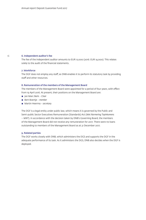### 6. Independent auditor's fee

The fee of the independent auditor amounts to EUR 12,000 (2016: EUR 14,000). This relates solely to the audit of the financial statements.

#### 7. Workforce

The DGF does not employ any staff, as DNB enables it to perform its statutory task by providing staff and other resources.

#### 8. Remuneration of the members of the Management Board

The members of the Management Board were appointed for a period of four years, with effect from 19 April 2016. At present, their positions on the Management Board are:

- Jan Marc Berk Chair
- Bert Boertje *member*
- Martin Heerma *secretary*

The DGF is a legal entity under public law, which means it is governed by the Public and Semi-public Sector Executives Remuneration (Standards) Act (*Wet Normering Topinkomens – WNT*). In accordance with the decision taken by DNB's Governing Board, the members of the Management Board did not receive any remuneration for 2017. There were no loans outstanding to members of the Management Board as at 31 December 2017.

#### 9. Related parties

The DGF works closely with DNB, which administers the DGS and supports the DGF in the adequate performance of its task. As it administers the DGS, DNB also decides when the DGF is deployed.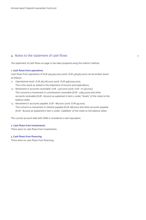## 4. Notes to the statement of cash flows 17 and 17 and 17 and 17 and 17 and 17 and 17 and 17 and 17 and 17 and 17

The statement of cash flows on page [12](#page-11-0) has been prepared using the indirect method.

#### 1. Cash flows from operations

Cash flows from operations of EUR 463,462,000 (2016: EUR 336,967,000) can be broken down as follows:

- 1.1 Operational result: EUR 467,187,000 (2016: EUR 448,009,000). This is the result as stated in the statement of income and expenditure.
- 1.2 Movement in accounts receivable: EUR -3,911,000 (2016: EUR -111,136,000). This concerns a movement in contributions receivable (EUR -3,893,000) and other accounts receivable (EUR -18,000) as explained in item 2 under "Assets" of the notes to the balance sheet.
- 1.3 Movement in accounts payable: EUR -186,000 (2016: EUR 94,000). This concerns a movement in interest payable (EUR 168,000) and other accounts payable (EUR -18,000) as explained in item 2 under "Liabilities" of the notes to the balance sheet.

The current account held with DNB is considered a cash equivalent.

## 2. Cash flows from investments

There were no cash flows from investments.

#### 3. Cash flows from financing

There were no cash flows from financing.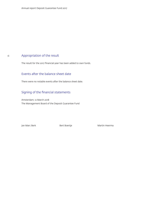# <span id="page-17-0"></span>Appropriation of the result

The result for the 2017 financial year has been added to own funds.

## Events after the balance sheet date

There were no notable events after the balance sheet date.

## Signing of the financial statements

Amsterdam, 12 March 2018 The Management Board of the Deposit Guarantee Fund

Jan Marc Berk **Martin Heerma** Bert Boertje Martin Heerma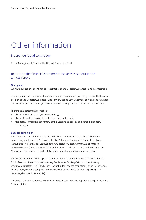# <span id="page-18-0"></span>Other information

## Independent auditor's report

To the Management Board of the Deposit Guarantee Fund

## Report on the financial statements for 2017 as set out in the annual report

#### Our opinion

We have audited the 2017 financial statements of the Deposit Guarantee Fund in Amsterdam.

In our opinion, the financial statements set out in this annual report fairly present the financial position of the Deposit Guarantee Fund's own funds as at 31 December 2017 and the result for the financial year then ended, in accordance with Part 9 of Book 2 of the Dutch Civil Code.

The financial statements comprise:

- 1. the balance sheet as at 31 December 2017;
- 2. the profit and loss account for the year then ended; and
- 3. the notes, comprising a summary of the accounting policies and other explanatory information.

#### Basis for our opinion

We conducted our audit in accordance with Dutch law, including the Dutch Standards on Auditing and the Audit Protocol under the Public and Semi-public Sector Executives Remuneration (Standards) Act (*Wet normering bezoldiging topfunctionarissen publieke en semipublieke sector*). Our responsibilities under those standards are further described in the "Our responsibilities for the audit of the financial statements" section of our report.

We are independent of the Deposit Guarantee Fund in accordance with the Code of Ethics for Professional Accountants (*Verordening inzake de onafhankelijkheid van accountants bij assurance-opdrachten – ViO*) and other relevant independence regulations in the Netherlands. Furthermore, we have complied with the Dutch Code of Ethics (*Verordening gedrags- en beroepsregels accountants – VGBA*).

We believe the audit evidence we have obtained is sufficient and appropriate to provide a basis for our opinion.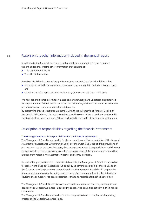### Report on the other information included in the annual report

In addition to the financial statements and our independent auditor's report thereon, the annual report contains other information that consists of:

- $\blacksquare$  The management report
- **The other information.**

Based on the following procedures performed, we conclude that the other information:

- **E** is consistent with the financial statements and does not contain material misstatements; and
- contains the information as required by Part 9 of Book 2 of the Dutch Civil Code.

We have read the other information. Based on our knowledge and understanding obtained through our audit of the financial statements or otherwise, we have considered whether the other information contains material misstatements.

By performing these procedures, we comply with the requirements of Part 9 of Book 2 of the Dutch Civil Code and the Dutch Standard 720. The scope of the procedures performed is substantially less than the scope of those performed in our audit of the financial statements.

## Description of responsibilities regarding the financial statements

#### The Management Board's responsibilities for the financial statements

The Management Board is responsible for the preparation and fair presentation of the financial statements in accordance with Part 9 of Book 2 of the Dutch Civil Code and the provisions of and pursuant to the *WNT*. Furthermore, the Management Board is responsible for such internal control as it determines necessary to enable the preparation of the financial statements that are free from material misstatement, whether due to fraud or error.

As part of the preparation of the financial statements, the Management Board is responsible for assessing the Deposit Guarantee Fund's ability to continue as a going concern. Based on the financial reporting frameworks mentioned, the Management Board should prepare the financial statements using the going concern basis of accounting unless it either intends to liquidate the company or to cease operations, or has no realistic alternative but to do so.

The Management Board should disclose events and circumstances that may cast significant doubt on the Deposit Guarantee Fund's ability to continue as a going concern in the financial statements.

The Management Board is responsible for exercising supervision on the financial reporting process of the Deposit Guarantee Fund.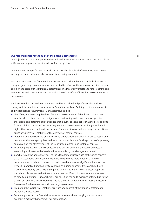#### Our responsibilities for the audit of the financial statements 21

Our objective is to plan and perform the audit assignment in a manner that allows us to obtain sufficient and appropriate audit evidence for our opinion.

Our audit has been performed with a high, but not absolute, level of assurance, which means we may not detect all material errors and fraud during our audit.

Misstatements can arise from fraud or error and are considered material if, individually or in the aggregate, they could reasonably be expected to influence the economic decisions of users taken on the basis of these financial statements. The materiality affects the nature, timing and extent of our audit procedures and the evaluation of the effect of identified misstatements on our opinion.

We have exercised professional judgement and have maintained professional scepticism throughout the audit, in accordance with Dutch Standards on Auditing, ethical requirements and independence requirements. Our audit included e.g.:

- **I** Identifying and assessing the risks of material misstatement of the financial statements, whether due to fraud or error, designing and performing audit procedures responsive to those risks, and obtaining audit evidence that is sufficient and appropriate to provide a basis for our opinion. The risk of not detecting a material misstatement resulting from fraud is higher than for one resulting from error, as fraud may involve collusion, forgery, intentional omissions, misrepresentations, or the override of internal control.
- **D** Obtaining an understanding of internal control relevant to the audit in order to design audit procedures that are appropriate in the circumstances, but not for the purpose of expressing an opinion on the effectiveness of the Deposit Guarantee Fund's internal control.
- **E** Evaluating the appropriateness of accounting policies used and the reasonableness of accounting estimates and related disclosures made by the Management Board.
- **EXECONCIDENT CONCLUDING ON THE APPROX** Concluding on the appropriateness of the lost of the going concern basis of accounting, and based on the audit evidence obtained, whether a material uncertainty exists related to events or conditions that may cast significant doubt on the Deposit Guarantee Fund's ability to continue as a going concern. If we conclude that a material uncertainty exists, we are required to draw attention in our auditor's report to the related disclosures in the financial statements or, if such disclosures are inadequate, to modify our opinion. Our conclusions are based on the audit evidence obtained up to the date of our auditor's report. However, future events or conditions may cause the Deposit Guarantee Fund to cease to continue as a going concern.
- Evaluating the overall presentation, structure and content of the financial statements, including the disclosures.
- **E** Evaluating whether the financial statements represent the underlying transactions and events in a manner that achieves fair presentation.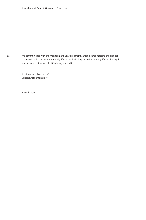We communicate with the Management Board regarding, among other matters, the planned scope and timing of the audit and significant audit findings, including any significant findings in internal control that we identify during our audit.

> Amsterdam, 12 March 2018 Deloitte Accountants B.V.

Ronald Spijker